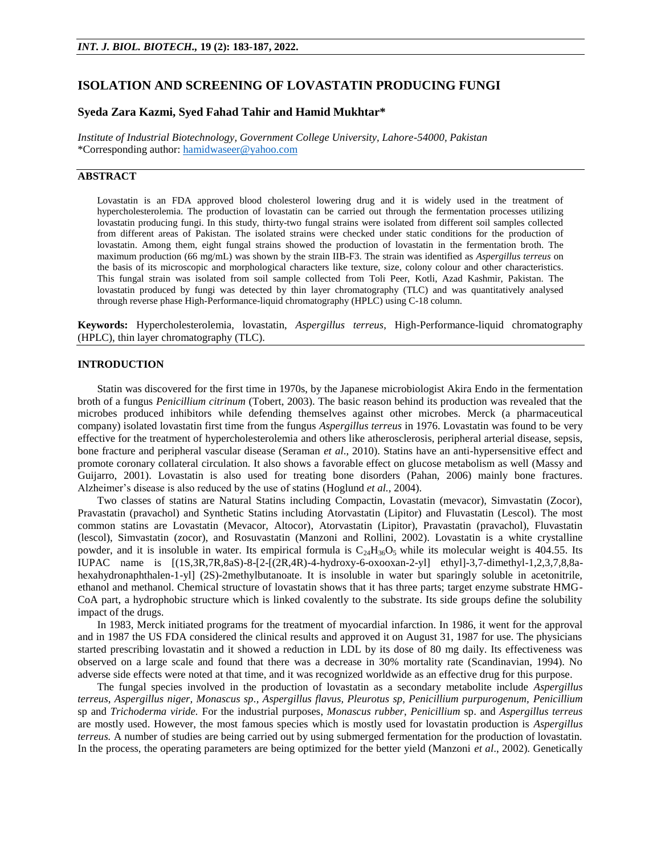# **ISOLATION AND SCREENING OF LOVASTATIN PRODUCING FUNGI**

# **Syeda Zara Kazmi, Syed Fahad Tahir and Hamid Mukhtar\***

*Institute of Industrial Biotechnology, Government College University, Lahore-54000, Pakistan* \*Corresponding author: [hamidwaseer@yahoo.com](mailto:hamidwaseer@yahoo.com)

# **ABSTRACT**

Lovastatin is an FDA approved blood cholesterol lowering drug and it is widely used in the treatment of hypercholesterolemia. The production of lovastatin can be carried out through the fermentation processes utilizing lovastatin producing fungi. In this study, thirty-two fungal strains were isolated from different soil samples collected from different areas of Pakistan. The isolated strains were checked under static conditions for the production of lovastatin. Among them, eight fungal strains showed the production of lovastatin in the fermentation broth. The maximum production (66 mg/mL) was shown by the strain IIB-F3. The strain was identified as *Aspergillus terreus* on the basis of its microscopic and morphological characters like texture, size, colony colour and other characteristics. This fungal strain was isolated from soil sample collected from Toli Peer, Kotli, Azad Kashmir, Pakistan. The lovastatin produced by fungi was detected by thin layer chromatography (TLC) and was quantitatively analysed through reverse phase High-Performance-liquid chromatography (HPLC) using C-18 column.

**Keywords:** Hypercholesterolemia, lovastatin, *Aspergillus terreus*, High-Performance-liquid chromatography (HPLC), thin layer chromatography (TLC).

#### **INTRODUCTION**

Statin was discovered for the first time in 1970s, by the Japanese microbiologist Akira Endo in the fermentation broth of a fungus *Penicillium citrinum* (Tobert, 2003). The basic reason behind its production was revealed that the microbes produced inhibitors while defending themselves against other microbes. Merck (a pharmaceutical company) isolated lovastatin first time from the fungus *Aspergillus terreus* in 1976. Lovastatin was found to be very effective for the treatment of hypercholesterolemia and others like atherosclerosis, peripheral arterial disease, sepsis, bone fracture and peripheral vascular disease (Seraman *et al*., 2010). Statins have an anti-hypersensitive effect and promote coronary collateral circulation. It also shows a favorable effect on glucose metabolism as well (Massy and Guijarro, 2001). Lovastatin is also used for treating bone disorders (Pahan, 2006) mainly bone fractures. Alzheimer's disease is also reduced by the use of statins (Hoglund *et al.,* 2004).

Two classes of statins are Natural Statins including Compactin, Lovastatin (mevacor), Simvastatin (Zocor), Pravastatin (pravachol) and Synthetic Statins including Atorvastatin (Lipitor) and Fluvastatin (Lescol). The most common statins are Lovastatin (Mevacor, Altocor), Atorvastatin (Lipitor), Pravastatin (pravachol), Fluvastatin (lescol), Simvastatin (zocor), and Rosuvastatin (Manzoni and Rollini*,* 2002). Lovastatin is a white crystalline powder, and it is insoluble in water. Its empirical formula is  $C_{24}H_{36}O_5$  while its molecular weight is 404.55. Its IUPAC name is [(1S,3R,7R,8aS)-8-[2-[(2R,4R)-4-hydroxy-6-oxooxan-2-yl] ethyl]-3,7-dimethyl-1,2,3,7,8,8ahexahydronaphthalen-1-yl] (2S)-2methylbutanoate. It is insoluble in water but sparingly soluble in acetonitrile, ethanol and methanol. Chemical structure of lovastatin shows that it has three parts; target enzyme substrate HMG-CoA part, a hydrophobic structure which is linked covalently to the substrate. Its side groups define the solubility impact of the drugs.

In 1983, Merck initiated programs for the treatment of myocardial infarction. In 1986, it went for the approval and in 1987 the US FDA considered the clinical results and approved it on August 31, 1987 for use. The physicians started prescribing lovastatin and it showed a reduction in LDL by its dose of 80 mg daily. Its effectiveness was observed on a large scale and found that there was a decrease in 30% mortality rate (Scandinavian, 1994). No adverse side effects were noted at that time, and it was recognized worldwide as an effective drug for this purpose.

The fungal species involved in the production of lovastatin as a secondary metabolite include *Aspergillus terreus*, *Aspergillus niger, Monascus sp., Aspergillus flavus, Pleurotus sp, Penicillium purpurogenum, Penicillium*  sp and *Trichoderma viride.* For the industrial purposes, *Monascus rubber*, *Penicillium* sp. and *Aspergillus terreus*  are mostly used. However, the most famous species which is mostly used for lovastatin production is *Aspergillus terreus.* A number of studies are being carried out by using submerged fermentation for the production of lovastatin. In the process, the operating parameters are being optimized for the better yield (Manzoni *et al*., 2002). Genetically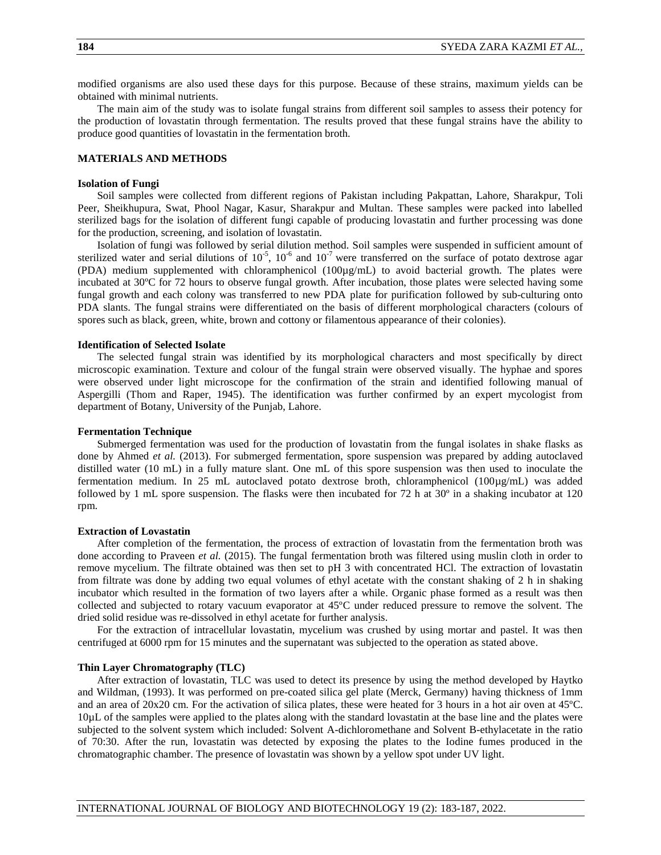modified organisms are also used these days for this purpose. Because of these strains, maximum yields can be obtained with minimal nutrients.

The main aim of the study was to isolate fungal strains from different soil samples to assess their potency for the production of lovastatin through fermentation. The results proved that these fungal strains have the ability to produce good quantities of lovastatin in the fermentation broth.

## **MATERIALS AND METHODS**

#### **Isolation of Fungi**

Soil samples were collected from different regions of Pakistan including Pakpattan, Lahore, Sharakpur, Toli Peer, Sheikhupura, Swat, Phool Nagar, Kasur, Sharakpur and Multan. These samples were packed into labelled sterilized bags for the isolation of different fungi capable of producing lovastatin and further processing was done for the production, screening, and isolation of lovastatin.

Isolation of fungi was followed by serial dilution method. Soil samples were suspended in sufficient amount of sterilized water and serial dilutions of  $10^{-5}$ ,  $10^{-6}$  and  $10^{-7}$  were transferred on the surface of potato dextrose agar (PDA) medium supplemented with chloramphenicol (100µg/mL) to avoid bacterial growth. The plates were incubated at 30ºC for 72 hours to observe fungal growth. After incubation, those plates were selected having some fungal growth and each colony was transferred to new PDA plate for purification followed by sub-culturing onto PDA slants. The fungal strains were differentiated on the basis of different morphological characters (colours of spores such as black, green, white, brown and cottony or filamentous appearance of their colonies).

### **Identification of Selected Isolate**

The selected fungal strain was identified by its morphological characters and most specifically by direct microscopic examination. Texture and colour of the fungal strain were observed visually. The hyphae and spores were observed under light microscope for the confirmation of the strain and identified following manual of Aspergilli (Thom and Raper, 1945). The identification was further confirmed by an expert mycologist from department of Botany, University of the Punjab, Lahore.

### **Fermentation Technique**

Submerged fermentation was used for the production of lovastatin from the fungal isolates in shake flasks as done by Ahmed *et al.* (2013). For submerged fermentation, spore suspension was prepared by adding autoclaved distilled water (10 mL) in a fully mature slant. One mL of this spore suspension was then used to inoculate the fermentation medium. In 25 mL autoclaved potato dextrose broth, chloramphenicol (100µg/mL) was added followed by 1 mL spore suspension. The flasks were then incubated for 72 h at 30° in a shaking incubator at 120 rpm.

#### **Extraction of Lovastatin**

After completion of the fermentation, the process of extraction of lovastatin from the fermentation broth was done according to Praveen *et al.* (2015). The fungal fermentation broth was filtered using muslin cloth in order to remove mycelium. The filtrate obtained was then set to pH 3 with concentrated HCl. The extraction of lovastatin from filtrate was done by adding two equal volumes of ethyl acetate with the constant shaking of 2 h in shaking incubator which resulted in the formation of two layers after a while. Organic phase formed as a result was then collected and subjected to rotary vacuum evaporator at 45ºC under reduced pressure to remove the solvent. The dried solid residue was re-dissolved in ethyl acetate for further analysis.

For the extraction of intracellular lovastatin, mycelium was crushed by using mortar and pastel. It was then centrifuged at 6000 rpm for 15 minutes and the supernatant was subjected to the operation as stated above.

#### **Thin Layer Chromatography (TLC)**

After extraction of lovastatin, TLC was used to detect its presence by using the method developed by Haytko and Wildman, (1993). It was performed on pre-coated silica gel plate (Merck, Germany) having thickness of 1mm and an area of 20x20 cm. For the activation of silica plates, these were heated for 3 hours in a hot air oven at 45ºC. 10µL of the samples were applied to the plates along with the standard lovastatin at the base line and the plates were subjected to the solvent system which included: Solvent A-dichloromethane and Solvent B-ethylacetate in the ratio of 70:30. After the run, lovastatin was detected by exposing the plates to the Iodine fumes produced in the chromatographic chamber. The presence of lovastatin was shown by a yellow spot under UV light.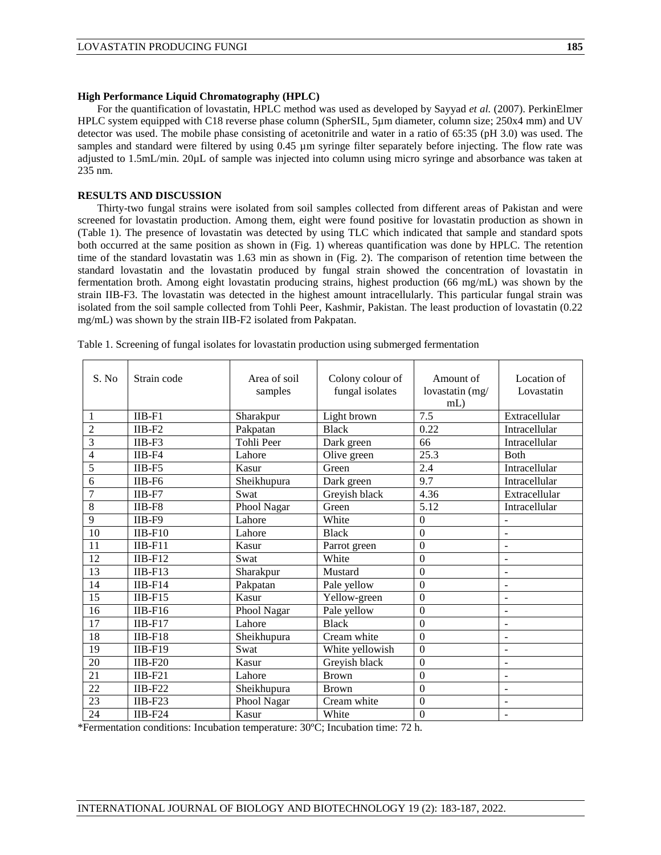## **High Performance Liquid Chromatography (HPLC)**

For the quantification of lovastatin, HPLC method was used as developed by Sayyad *et al.* (2007). PerkinElmer HPLC system equipped with C18 reverse phase column (SpherSIL, 5µm diameter, column size; 250x4 mm) and UV detector was used. The mobile phase consisting of acetonitrile and water in a ratio of 65:35 (pH 3.0) was used. The samples and standard were filtered by using 0.45 µm syringe filter separately before injecting. The flow rate was adjusted to 1.5mL/min. 20µL of sample was injected into column using micro syringe and absorbance was taken at 235 nm.

# **RESULTS AND DISCUSSION**

Thirty-two fungal strains were isolated from soil samples collected from different areas of Pakistan and were screened for lovastatin production. Among them, eight were found positive for lovastatin production as shown in (Table 1). The presence of lovastatin was detected by using TLC which indicated that sample and standard spots both occurred at the same position as shown in (Fig. 1) whereas quantification was done by HPLC. The retention time of the standard lovastatin was 1.63 min as shown in (Fig. 2). The comparison of retention time between the standard lovastatin and the lovastatin produced by fungal strain showed the concentration of lovastatin in fermentation broth. Among eight lovastatin producing strains, highest production (66 mg/mL) was shown by the strain IIB-F3. The lovastatin was detected in the highest amount intracellularly. This particular fungal strain was isolated from the soil sample collected from Tohli Peer, Kashmir, Pakistan. The least production of lovastatin (0.22 mg/mL) was shown by the strain IIB-F2 isolated from Pakpatan.

| S. No           | Strain code | Area of soil<br>samples | Colony colour of<br>fungal isolates | Amount of<br>lovastatin (mg/<br>$mL$ ) | Location of<br>Lovastatin |
|-----------------|-------------|-------------------------|-------------------------------------|----------------------------------------|---------------------------|
| 1               | $IIB-F1$    | Sharakpur               | Light brown                         | 7.5                                    | Extracellular             |
| $\overline{c}$  | $IIB-F2$    | Pakpatan                | <b>Black</b>                        | 0.22                                   | Intracellular             |
| 3               | $IIB-F3$    | <b>Tohli Peer</b>       | Dark green                          | 66                                     | Intracellular             |
| 4               | $IIB-F4$    | Lahore                  | Olive green                         | 25.3                                   | <b>B</b> oth              |
| 5               | $IIB-F5$    | Kasur                   | Green                               | $\overline{2.4}$                       | Intracellular             |
| 6               | $IIB-F6$    | Sheikhupura             | Dark green                          | 9.7                                    | Intracellular             |
| $\overline{7}$  | $IIB-F7$    | Swat                    | Greyish black                       | 4.36                                   | Extracellular             |
| 8               | $IIB-F8$    | Phool Nagar             | Green                               | $\overline{5.12}$                      | Intracellular             |
| 9               | $IIB-F9$    | Lahore                  | White                               | $\Omega$                               |                           |
| 10              | $IIB-F10$   | Lahore                  | <b>Black</b>                        | $\theta$                               | $\overline{\phantom{a}}$  |
| 11              | $IIB-F11$   | Kasur                   | Parrot green                        | $\theta$                               | $\sim$                    |
| 12              | $IIB-F12$   | Swat                    | White                               | $\Omega$                               | $\overline{\phantom{a}}$  |
| 13              | $IIB-F13$   | Sharakpur               | Mustard                             | $\Omega$                               | $\overline{a}$            |
| 14              | $IIB-F14$   | Pakpatan                | Pale yellow                         | $\Omega$                               | $\sim$                    |
| 15              | $IIB-F15$   | Kasur                   | Yellow-green                        | $\Omega$                               |                           |
| 16              | $IIB-F16$   | Phool Nagar             | Pale yellow                         | $\Omega$                               |                           |
| $\overline{17}$ | $IIB-F17$   | Lahore                  | <b>Black</b>                        | $\Omega$                               | $\sim$                    |
| 18              | $IIB-F18$   | Sheikhupura             | Cream white                         | $\Omega$                               | ÷.                        |
| 19              | $IIB-F19$   | Swat                    | White yellowish                     | $\Omega$                               |                           |
| 20              | $IIB-F20$   | Kasur                   | Greyish black                       | $\Omega$                               | $\overline{a}$            |
| 21              | $IIB-F21$   | Lahore                  | <b>Brown</b>                        | $\Omega$                               |                           |
| 22              | $IIB-F22$   | Sheikhupura             | <b>Brown</b>                        | $\Omega$                               | $\overline{\phantom{a}}$  |
| 23              | $IIB-F23$   | Phool Nagar             | Cream white                         | $\Omega$                               | $\blacksquare$            |
| 24              | $IIB-F24$   | Kasur                   | White                               | $\Omega$                               |                           |

Table 1. Screening of fungal isolates for lovastatin production using submerged fermentation

\*Fermentation conditions: Incubation temperature: 30ºC; Incubation time: 72 h.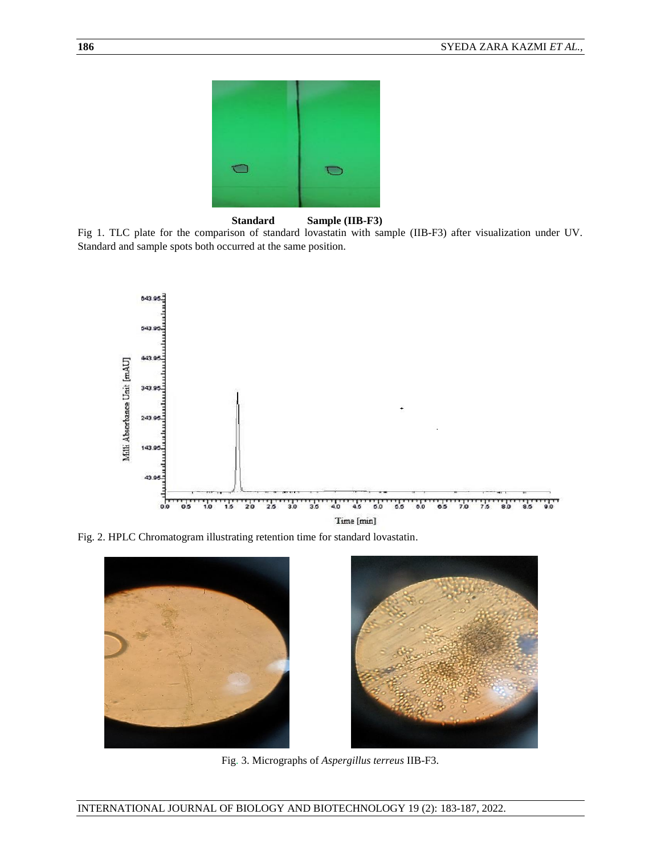

**Standard Sample (IIB-F3)**

Fig 1. TLC plate for the comparison of standard lovastatin with sample (IIB-F3) after visualization under UV. Standard and sample spots both occurred at the same position.



Fig. 2. HPLC Chromatogram illustrating retention time for standard lovastatin.



Fig. 3. Micrographs of *Aspergillus terreus* IIB-F3.